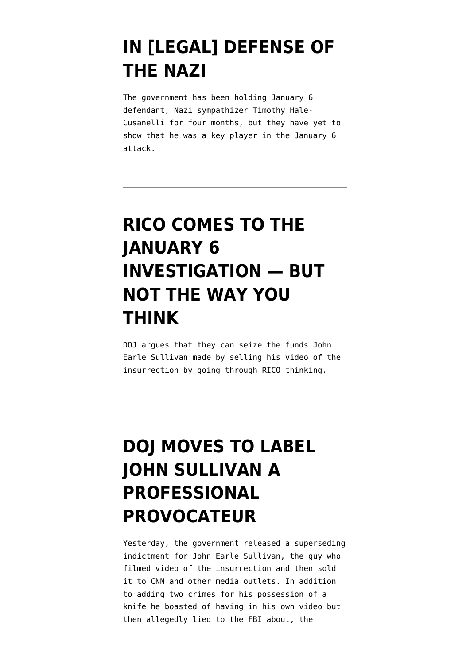#### **[IN \[LEGAL\] DEFENSE OF](https://www.emptywheel.net/2021/05/27/in-legal-defense-of-the-nazi/) [THE NAZI](https://www.emptywheel.net/2021/05/27/in-legal-defense-of-the-nazi/)**

The government has been holding January 6 defendant, Nazi sympathizer Timothy Hale-Cusanelli for four months, but they have yet to show that he was a key player in the January 6 attack.

# **[RICO COMES TO THE](https://www.emptywheel.net/2021/05/26/rico-comes-to-the-january-6-investigation-but-not-the-way-you-think/) [JANUARY 6](https://www.emptywheel.net/2021/05/26/rico-comes-to-the-january-6-investigation-but-not-the-way-you-think/) [INVESTIGATION — BUT](https://www.emptywheel.net/2021/05/26/rico-comes-to-the-january-6-investigation-but-not-the-way-you-think/) [NOT THE WAY YOU](https://www.emptywheel.net/2021/05/26/rico-comes-to-the-january-6-investigation-but-not-the-way-you-think/) [THINK](https://www.emptywheel.net/2021/05/26/rico-comes-to-the-january-6-investigation-but-not-the-way-you-think/)**

DOJ argues that they can seize the funds John Earle Sullivan made by selling his video of the insurrection by going through RICO thinking.

### **[DOJ MOVES TO LABEL](https://www.emptywheel.net/2021/05/20/doj-moves-to-label-john-sullivan-a-professional-provocateur/) [JOHN SULLIVAN A](https://www.emptywheel.net/2021/05/20/doj-moves-to-label-john-sullivan-a-professional-provocateur/) [PROFESSIONAL](https://www.emptywheel.net/2021/05/20/doj-moves-to-label-john-sullivan-a-professional-provocateur/) [PROVOCATEUR](https://www.emptywheel.net/2021/05/20/doj-moves-to-label-john-sullivan-a-professional-provocateur/)**

Yesterday, the government released a [superseding](https://storage.courtlistener.com/recap/gov.uscourts.dcd.227101/gov.uscourts.dcd.227101.26.0_1.pdf) [indictment](https://storage.courtlistener.com/recap/gov.uscourts.dcd.227101/gov.uscourts.dcd.227101.26.0_1.pdf) for John Earle Sullivan, the guy who filmed video of the insurrection and then sold it to CNN and other media outlets. In addition to adding two crimes for his possession of a knife he boasted of having in his own video but then allegedly lied to the FBI about, the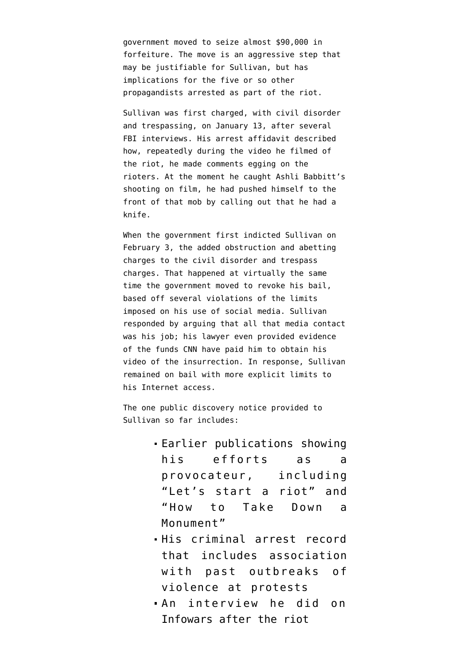government moved to seize almost \$90,000 in forfeiture. The move is an aggressive step that may be justifiable for Sullivan, but has implications for the five or so other propagandists arrested as part of the riot.

Sullivan was first [charged,](https://storage.courtlistener.com/recap/gov.uscourts.dcd.227101/gov.uscourts.dcd.227101.1.1.pdf) with civil disorder and trespassing, on January 13, after several FBI interviews. His arrest affidavit described how, repeatedly during the video he filmed of the riot, he made comments egging on the rioters. At the moment he caught Ashli Babbitt's shooting on film, he had pushed himself to the front of that mob by calling out that he had a knife.

When the government first [indicted](https://storage.courtlistener.com/recap/gov.uscourts.dcd.227101/gov.uscourts.dcd.227101.8.0.pdf) Sullivan on February 3, the added obstruction and abetting charges to the civil disorder and trespass charges. That happened at virtually the same time the government [moved](https://storage.courtlistener.com/recap/gov.uscourts.dcd.227101/gov.uscourts.dcd.227101.6.0.pdf) to revoke his bail, based off several violations of the limits imposed on his use of social media. Sullivan responded by arguing that all that media contact [was his job](https://storage.courtlistener.com/recap/gov.uscourts.dcd.227101/gov.uscourts.dcd.227101.13.0_1.pdf); his lawyer even provided evidence of the funds CNN have paid him to obtain his video of the insurrection. In response, Sullivan remained on bail with more [explicit limits](https://storage.courtlistener.com/recap/gov.uscourts.dcd.227101/gov.uscourts.dcd.227101.16.1.pdf) to his Internet access.

The one [public discovery notice](https://storage.courtlistener.com/recap/gov.uscourts.dcd.227101/gov.uscourts.dcd.227101.18.1.pdf) provided to Sullivan so far includes:

- Earlier publications showing his efforts as a provocateur, including "Let's start a riot" and "How to Take Down a Monument"
- His criminal arrest record that includes association with past outbreaks of violence at protests
- An interview he did on Infowars after the riot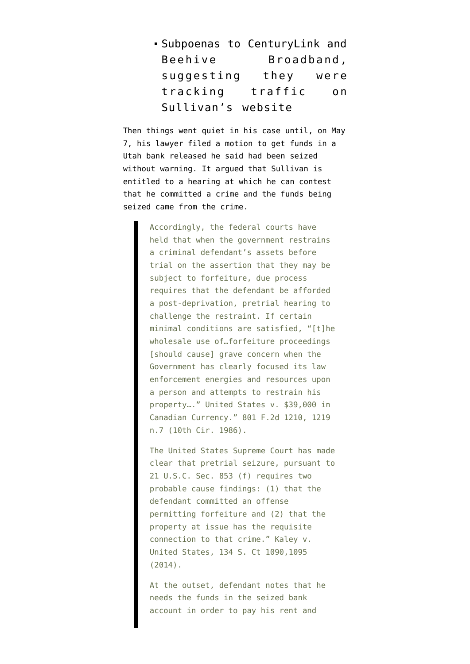Subpoenas to CenturyLink and Beehive Broadband, suggesting they were tracking traffic on Sullivan's website

Then things went quiet in his case until, on May 7, his lawyer filed a [motion](https://storage.courtlistener.com/recap/gov.uscourts.dcd.227101/gov.uscourts.dcd.227101.25.0.pdf) to get funds in a Utah bank released he said had been seized without warning. It argued that Sullivan is entitled to a hearing at which he can contest that he committed a crime and the funds being seized came from the crime.

> Accordingly, the federal courts have held that when the government restrains a criminal defendant's assets before trial on the assertion that they may be subject to forfeiture, due process requires that the defendant be afforded a post-deprivation, pretrial hearing to challenge the restraint. If certain minimal conditions are satisfied, "[t]he wholesale use of…forfeiture proceedings [should cause] grave concern when the Government has clearly focused its law enforcement energies and resources upon a person and attempts to restrain his property…." United States v. \$39,000 in Canadian Currency." 801 F.2d 1210, 1219 n.7 (10th Cir. 1986).

> The United States Supreme Court has made clear that pretrial seizure, pursuant to 21 U.S.C. Sec. 853 (f) requires two probable cause findings: (1) that the defendant committed an offense permitting forfeiture and (2) that the property at issue has the requisite connection to that crime." Kaley v. United States, 134 S. Ct 1090,1095 (2014).

At the outset, defendant notes that he needs the funds in the seized bank account in order to pay his rent and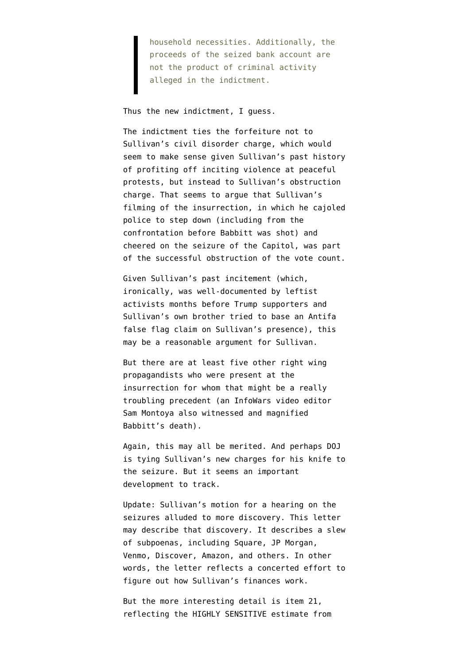household necessities. Additionally, the proceeds of the seized bank account are not the product of criminal activity alleged in the indictment.

Thus the new indictment, I guess.

The indictment ties the forfeiture not to Sullivan's civil disorder charge, which would seem to make sense given Sullivan's past history of profiting off inciting violence at peaceful protests, but instead to Sullivan's obstruction charge. That seems to argue that Sullivan's filming of the insurrection, in which he cajoled police to step down (including from the confrontation before Babbitt was shot) and cheered on the seizure of the Capitol, was part of the successful obstruction of the vote count.

Given Sullivan's past incitement (which, ironically, [was well-documented](https://www.upworthy.com/john-sullivan-capitol-riot-not-blm) by leftist activists months before Trump supporters and Sullivan's own brother tried to base an Antifa false flag claim on Sullivan's presence), this may be a reasonable argument for Sullivan.

But there are at least five other right wing propagandists who were present at the insurrection for whom that might be a really troubling precedent (an InfoWars video editor Sam Montoya also witnessed and magnified Babbitt's death).

Again, this may all be merited. And perhaps DOJ is tying Sullivan's new charges for his knife to the seizure. But it seems an important development to track.

Update: Sullivan's motion for a hearing on the seizures alluded to more discovery. [This letter](https://www.documentcloud.org/documents/20784547-210520-sullivan-discovery) may describe that discovery. It describes a slew of subpoenas, including Square, JP Morgan, Venmo, Discover, Amazon, and others. In other words, the letter reflects a concerted effort to figure out how Sullivan's finances work.

But the more interesting detail is item 21, reflecting the HIGHLY SENSITIVE estimate from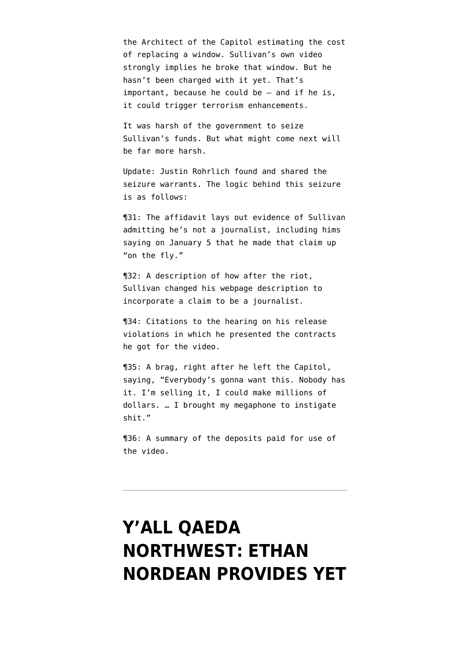the Architect of the Capitol estimating the cost of replacing a window. Sullivan's own video strongly implies he broke that window. But he hasn't been charged with it yet. That's important, because he could be — and if he is, it could trigger terrorism enhancements.

It was harsh of the government to seize Sullivan's funds. But what might come next will be far more harsh.

Update: Justin Rohrlich found and shared [the](https://www.documentcloud.org/documents/20785716-210520-sullivan-seizure) [seizure warrants.](https://www.documentcloud.org/documents/20785716-210520-sullivan-seizure) The logic behind this seizure is as follows:

¶31: The affidavit lays out evidence of Sullivan admitting he's not a journalist, including hims saying on January 5 that he made that claim up "on the fly."

¶32: A description of how after the riot, Sullivan changed his webpage description to incorporate a claim to be a journalist.

¶34: Citations to the hearing on his release violations in which he presented the contracts he got for the video.

¶35: A brag, right after he left the Capitol, saying, "Everybody's gonna want this. Nobody has it. I'm selling it, I could make millions of dollars. … I brought my megaphone to instigate shit."

¶36: A summary of the deposits paid for use of the video.

### **[Y'ALL QAEDA](https://www.emptywheel.net/2021/05/17/yall-qaeda-northwest-ethan-nordean-provides-yet-more-proof-of-the-proud-boys-sophistication-and-resilience/) [NORTHWEST: ETHAN](https://www.emptywheel.net/2021/05/17/yall-qaeda-northwest-ethan-nordean-provides-yet-more-proof-of-the-proud-boys-sophistication-and-resilience/) [NORDEAN PROVIDES YET](https://www.emptywheel.net/2021/05/17/yall-qaeda-northwest-ethan-nordean-provides-yet-more-proof-of-the-proud-boys-sophistication-and-resilience/)**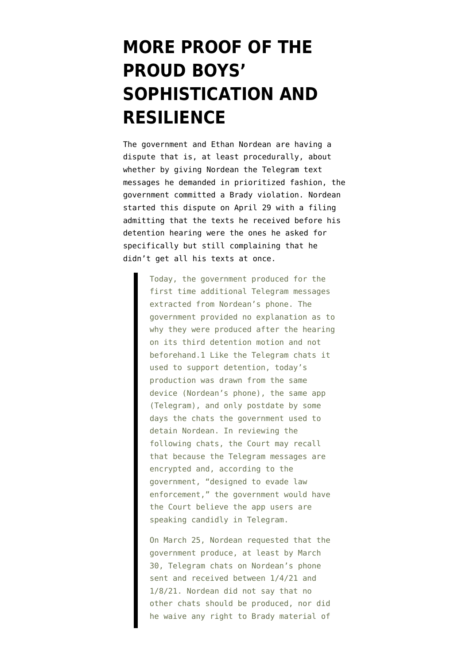### **[MORE PROOF OF THE](https://www.emptywheel.net/2021/05/17/yall-qaeda-northwest-ethan-nordean-provides-yet-more-proof-of-the-proud-boys-sophistication-and-resilience/) [PROUD BOYS'](https://www.emptywheel.net/2021/05/17/yall-qaeda-northwest-ethan-nordean-provides-yet-more-proof-of-the-proud-boys-sophistication-and-resilience/) [SOPHISTICATION AND](https://www.emptywheel.net/2021/05/17/yall-qaeda-northwest-ethan-nordean-provides-yet-more-proof-of-the-proud-boys-sophistication-and-resilience/) [RESILIENCE](https://www.emptywheel.net/2021/05/17/yall-qaeda-northwest-ethan-nordean-provides-yet-more-proof-of-the-proud-boys-sophistication-and-resilience/)**

The government and Ethan Nordean are having a dispute that is, at least procedurally, about whether by giving Nordean the Telegram text messages he demanded in prioritized fashion, the government committed a Brady violation. Nordean started this dispute [on April 29 with a filing](https://storage.courtlistener.com/recap/gov.uscourts.dcd.228300/gov.uscourts.dcd.228300.79.0_1.pdf) [admitting](https://storage.courtlistener.com/recap/gov.uscourts.dcd.228300/gov.uscourts.dcd.228300.79.0_1.pdf) that the texts he received before his detention hearing were the ones he asked for specifically but still complaining that he didn't get all his texts at once.

> Today, the government produced for the first time additional Telegram messages extracted from Nordean's phone. The government provided no explanation as to why they were produced after the hearing on its third detention motion and not beforehand.1 Like the Telegram chats it used to support detention, today's production was drawn from the same device (Nordean's phone), the same app (Telegram), and only postdate by some days the chats the government used to detain Nordean. In reviewing the following chats, the Court may recall that because the Telegram messages are encrypted and, according to the government, "designed to evade law enforcement," the government would have the Court believe the app users are speaking candidly in Telegram.

On March 25, Nordean requested that the government produce, at least by March 30, Telegram chats on Nordean's phone sent and received between 1/4/21 and 1/8/21. Nordean did not say that no other chats should be produced, nor did he waive any right to Brady material of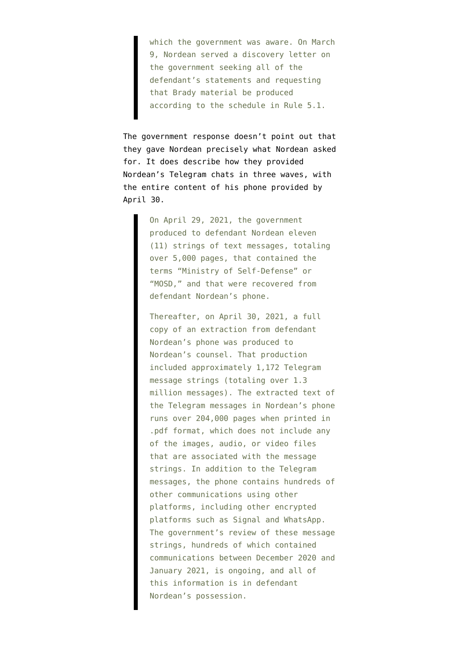which the government was aware. On March 9, Nordean served a discovery letter on the government seeking all of the defendant's statements and requesting that Brady material be produced according to the schedule in Rule 5.1.

The [government response](https://storage.courtlistener.com/recap/gov.uscourts.dcd.228300/gov.uscourts.dcd.228300.84.0.pdf) doesn't point out that they gave Nordean precisely what Nordean asked for. It does describe how they provided Nordean's Telegram chats in three waves, with the entire content of his phone provided by April 30.

> On April 29, 2021, the government produced to defendant Nordean eleven (11) strings of text messages, totaling over 5,000 pages, that contained the terms "Ministry of Self-Defense" or "MOSD," and that were recovered from defendant Nordean's phone.

Thereafter, on April 30, 2021, a full copy of an extraction from defendant Nordean's phone was produced to Nordean's counsel. That production included approximately 1,172 Telegram message strings (totaling over 1.3 million messages). The extracted text of the Telegram messages in Nordean's phone runs over 204,000 pages when printed in .pdf format, which does not include any of the images, audio, or video files that are associated with the message strings. In addition to the Telegram messages, the phone contains hundreds of other communications using other platforms, including other encrypted platforms such as Signal and WhatsApp. The government's review of these message strings, hundreds of which contained communications between December 2020 and January 2021, is ongoing, and all of this information is in defendant Nordean's possession.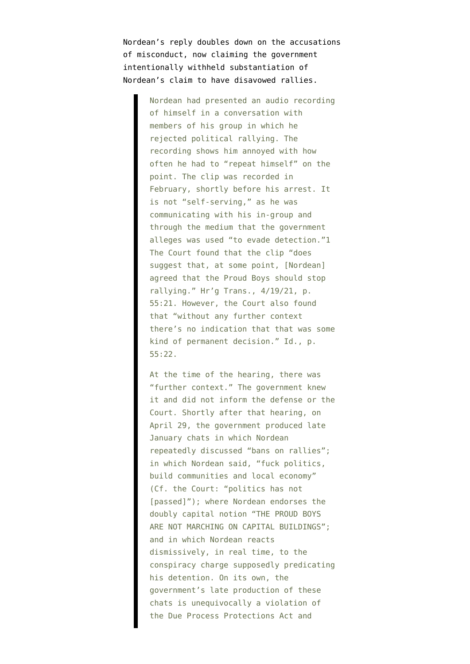[Nordean's reply](https://storage.courtlistener.com/recap/gov.uscourts.dcd.228300/gov.uscourts.dcd.228300.85.0.pdf) doubles down on the accusations of misconduct, now claiming the government intentionally withheld substantiation of Nordean's claim to have disavowed rallies.

> Nordean had presented an audio recording of himself in a conversation with members of his group in which he rejected political rallying. The recording shows him annoyed with how often he had to "repeat himself" on the point. The clip was recorded in February, shortly before his arrest. It is not "self-serving," as he was communicating with his in-group and through the medium that the government alleges was used "to evade detection."1 The Court found that the clip "does suggest that, at some point, [Nordean] agreed that the Proud Boys should stop rallying." Hr'g Trans., 4/19/21, p. 55:21. However, the Court also found that "without any further context there's no indication that that was some kind of permanent decision." Id., p. 55:22.

> At the time of the hearing, there was "further context." The government knew it and did not inform the defense or the Court. Shortly after that hearing, on April 29, the government produced late January chats in which Nordean repeatedly discussed "bans on rallies"; in which Nordean said, "fuck politics, build communities and local economy" (Cf. the Court: "politics has not [passed]"); where Nordean endorses the doubly capital notion "THE PROUD BOYS ARE NOT MARCHING ON CAPITAL BUILDINGS"; and in which Nordean reacts dismissively, in real time, to the conspiracy charge supposedly predicating his detention. On its own, the government's late production of these chats is unequivocally a violation of the Due Process Protections Act and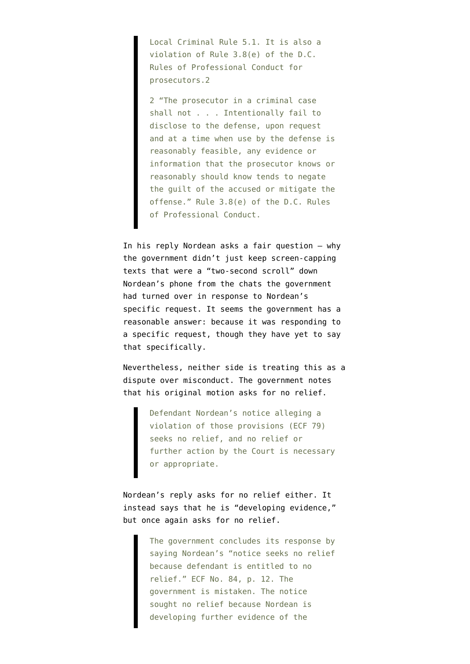Local Criminal Rule 5.1. It is also a violation of Rule 3.8(e) of the D.C. Rules of Professional Conduct for prosecutors.2

2 "The prosecutor in a criminal case shall not . . . Intentionally fail to disclose to the defense, upon request and at a time when use by the defense is reasonably feasible, any evidence or information that the prosecutor knows or reasonably should know tends to negate the guilt of the accused or mitigate the offense." Rule 3.8(e) of the D.C. Rules of Professional Conduct.

In his reply Nordean asks a fair question — why the government didn't just keep screen-capping texts that were a "two-second scroll" down Nordean's phone from the chats the government had turned over in response to Nordean's specific request. It seems the government has a reasonable answer: because it was responding to a specific request, though they have yet to say that specifically.

Nevertheless, neither side is treating this as a dispute over misconduct. The government notes that his original motion asks for no relief.

> Defendant Nordean's notice alleging a violation of those provisions (ECF 79) seeks no relief, and no relief or further action by the Court is necessary or appropriate.

Nordean's reply asks for no relief either. It instead says that he is "developing evidence," but once again asks for no relief.

> The government concludes its response by saying Nordean's "notice seeks no relief because defendant is entitled to no relief." ECF No. 84, p. 12. The government is mistaken. The notice sought no relief because Nordean is developing further evidence of the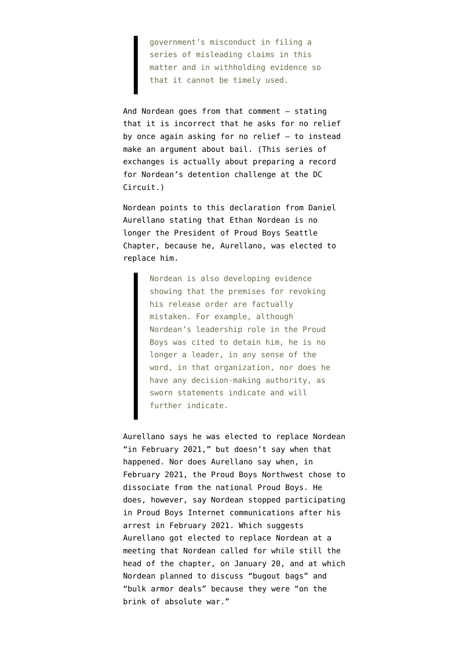government's misconduct in filing a series of misleading claims in this matter and in withholding evidence so that it cannot be timely used.

And Nordean goes from that comment — stating that it is incorrect that he asks for no relief by once again asking for no relief — to instead make an argument about bail. (This series of exchanges is actually about preparing a record for Nordean's detention challenge at the DC Circuit.)

Nordean points to this [declaration](https://storage.courtlistener.com/recap/gov.uscourts.dcd.228300/gov.uscourts.dcd.228300.85.1.pdf) from Daniel Aurellano stating that Ethan Nordean is no longer the President of Proud Boys Seattle Chapter, because he, Aurellano, was elected to replace him.

> Nordean is also developing evidence showing that the premises for revoking his release order are factually mistaken. For example, although Nordean's leadership role in the Proud Boys was cited to detain him, he is no longer a leader, in any sense of the word, in that organization, nor does he have any decision-making authority, as sworn statements indicate and will further indicate.

Aurellano says he was elected to replace Nordean "in February 2021," but doesn't say when that happened. Nor does Aurellano say when, in February 2021, the Proud Boys Northwest chose to dissociate from the national Proud Boys. He does, however, say Nordean stopped participating in Proud Boys Internet communications after his arrest in February 2021. Which suggests Aurellano got elected to replace Nordean at a meeting that Nordean called for while still the head of the chapter, on January 20, and at which Nordean planned to discuss "bugout bags" and "bulk armor deals" because they were "on the brink of absolute war."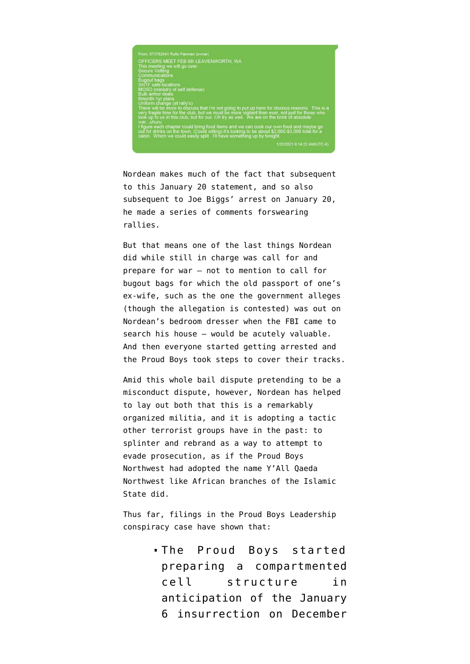

Nordean makes much of the fact that subsequent to this January 20 statement, and so also subsequent to Joe Biggs' arrest on January 20, he made a series of comments forswearing rallies.

But that means one of the last things Nordean did while still in charge was call for and prepare for war — not to mention to call for bugout bags for which the old passport of one's ex-wife, such as the one the government alleges (though the allegation is contested) was out on Nordean's bedroom dresser when the FBI came to search his house — would be acutely valuable. And then everyone started getting arrested and the Proud Boys took steps to cover their tracks.

Amid this whole bail dispute pretending to be a misconduct dispute, however, Nordean has helped to lay out both that this is a remarkably organized militia, and it is adopting a tactic other terrorist groups have in the past: to splinter and rebrand as a way to attempt to evade prosecution, as if the Proud Boys Northwest had adopted the name Y'All Qaeda Northwest like African branches of the Islamic State did.

Thus far, filings in the Proud Boys Leadership conspiracy case have shown that:

> The Proud Boys started preparing a compartmented cell structure in anticipation of the January 6 insurrection on December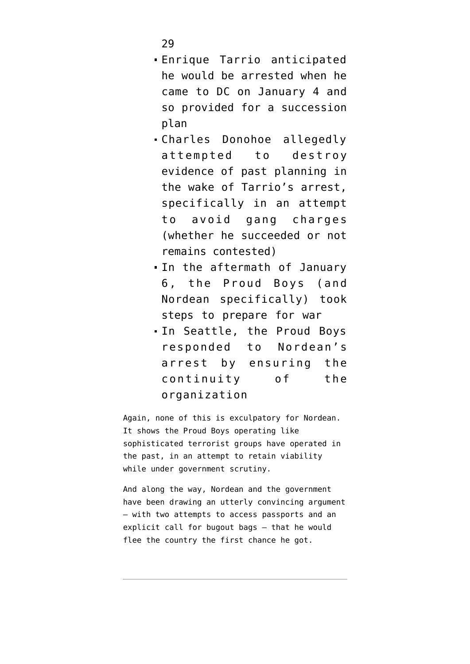29

- Enrique Tarrio anticipated he would be arrested when he came to DC on January 4 and so provided for a succession plan
- Charles Donohoe [allegedly](https://www.justice.gov/usao-dc/case-multi-defendant/file/1377586/download) [attempted](https://www.justice.gov/usao-dc/case-multi-defendant/file/1377586/download) to destroy evidence of past planning in the wake of Tarrio's arrest, specifically in an attempt to avoid gang charges (whether he succeeded or not remains contested)
- In the aftermath of January 6, the Proud Boys (and Nordean specifically) took steps to prepare for war
- In Seattle, the Proud Boys responded to Nordean's arrest by ensuring the continuity of the organization

Again, none of this is exculpatory for Nordean. It shows the Proud Boys operating like sophisticated terrorist groups have operated in the past, in an attempt to retain viability while under government scrutiny.

And along the way, Nordean and the government have been drawing an utterly convincing argument — with two attempts to access passports and an explicit call for bugout bags — that he would flee the country the first chance he got.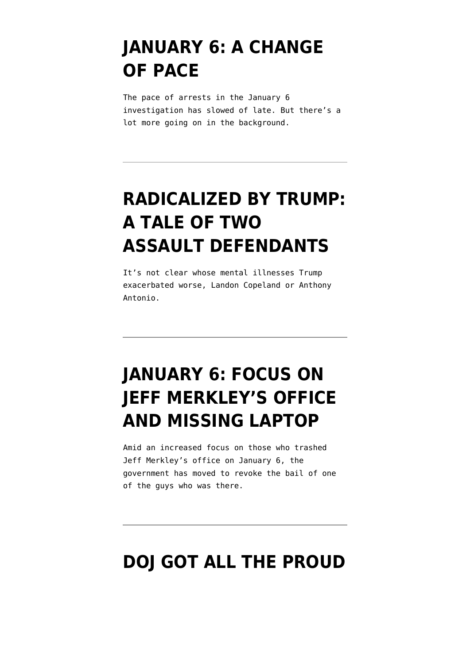#### **[JANUARY 6: A CHANGE](https://www.emptywheel.net/2021/05/14/january-6-a-change-of-pace/) [OF PACE](https://www.emptywheel.net/2021/05/14/january-6-a-change-of-pace/)**

The pace of arrests in the January 6 investigation has slowed of late. But there's a lot more going on in the background.

# **[RADICALIZED BY TRUMP:](https://www.emptywheel.net/2021/05/07/radicalized-by-trump-a-tale-of-two-assault-defendants/) [A TALE OF TWO](https://www.emptywheel.net/2021/05/07/radicalized-by-trump-a-tale-of-two-assault-defendants/) [ASSAULT DEFENDANTS](https://www.emptywheel.net/2021/05/07/radicalized-by-trump-a-tale-of-two-assault-defendants/)**

It's not clear whose mental illnesses Trump exacerbated worse, Landon Copeland or Anthony Antonio.

# **[JANUARY 6: FOCUS ON](https://www.emptywheel.net/2021/05/06/january-6-focus-on-merkleys-office/) [JEFF MERKLEY'S OFFICE](https://www.emptywheel.net/2021/05/06/january-6-focus-on-merkleys-office/) [AND MISSING LAPTOP](https://www.emptywheel.net/2021/05/06/january-6-focus-on-merkleys-office/)**

Amid an increased focus on those who trashed Jeff Merkley's office on January 6, the government has moved to revoke the bail of one of the guys who was there.

# **[DOJ GOT ALL THE PROUD](https://www.emptywheel.net/2021/05/04/doj-got-all-the-proud-boy-telegram-texts-from-ethan-nordeans-phone/)**